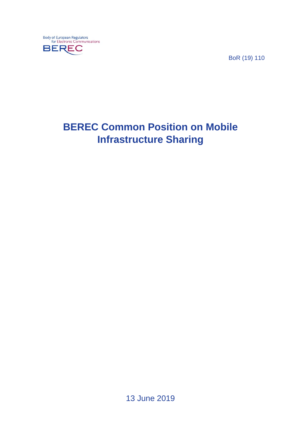

BoR (19) 110

# **BEREC Common Position on Mobile Infrastructure Sharing**

13 June 2019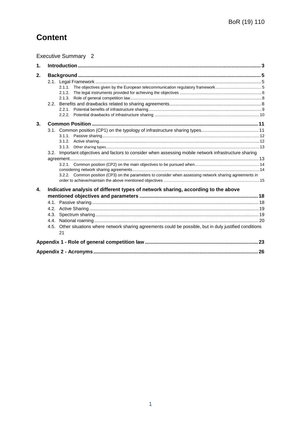## **Content**

|               |                                                                                   | <b>Executive Summary 2</b>                                                                                                                                                                                        |  |  |
|---------------|-----------------------------------------------------------------------------------|-------------------------------------------------------------------------------------------------------------------------------------------------------------------------------------------------------------------|--|--|
| $\mathbf 1$ . |                                                                                   |                                                                                                                                                                                                                   |  |  |
| 2.            |                                                                                   |                                                                                                                                                                                                                   |  |  |
|               |                                                                                   |                                                                                                                                                                                                                   |  |  |
| 3.            |                                                                                   |                                                                                                                                                                                                                   |  |  |
|               |                                                                                   | 3.2. Important objectives and factors to consider when assessing mobile network infrastructure sharing<br>3.2.2. Common position (CP3) on the parameters to consider when assessing network sharing agreements in |  |  |
| 4.            | Indicative analysis of different types of network sharing, according to the above |                                                                                                                                                                                                                   |  |  |
|               |                                                                                   | 4.5. Other situations where network sharing agreements could be possible, but in duly justified conditions<br>21                                                                                                  |  |  |
|               |                                                                                   |                                                                                                                                                                                                                   |  |  |
|               |                                                                                   |                                                                                                                                                                                                                   |  |  |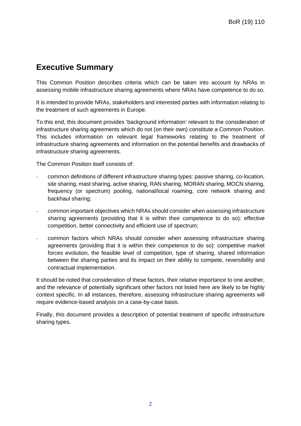## <span id="page-2-0"></span>**Executive Summary**

This Common Position describes criteria which can be taken into account by NRAs in assessing mobile infrastructure sharing agreements where NRAs have competence to do so.

It is intended to provide NRAs, stakeholders and interested parties with information relating to the treatment of such agreements in Europe.

To this end, this document provides 'background information' relevant to the consideration of infrastructure sharing agreements which do not (on their own) constitute a Common Position. This includes information on relevant legal frameworks relating to the treatment of infrastructure sharing agreements and information on the potential benefits and drawbacks of infrastructure sharing agreements.

The Common Position itself consists of:

- common definitions of different infrastructure sharing types: passive sharing, co-location, site sharing, mast sharing, active sharing, RAN sharing, MORAN sharing, MOCN sharing, frequency (or spectrum) pooling, national/local roaming, core network sharing and backhaul sharing;
- common important objectives which NRAs should consider when assessing infrastructure sharing agreements (providing that it is within their competence to do so): effective competition, better connectivity and efficient use of spectrum;
- common factors which NRAs should consider when assessing infrastructure sharing agreements (providing that it is within their competence to do so): competitive market forces evolution, the feasible level of competition, type of sharing, shared information between the sharing parties and its impact on their ability to compete, reversibility and contractual implementation.

It should be noted that consideration of these factors, their relative importance to one another, and the relevance of potentially significant other factors not listed here are likely to be highly context specific. In all instances, therefore, assessing infrastructure sharing agreements will require evidence-based analysis on a case-by-case basis.

Finally, this document provides a description of potential treatment of specific infrastructure sharing types.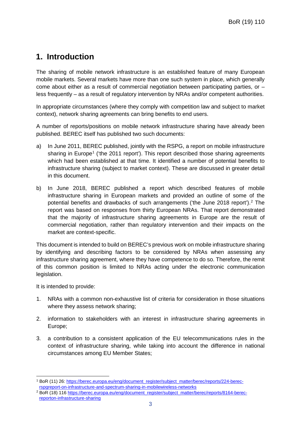## <span id="page-3-0"></span>**1. Introduction**

The sharing of mobile network infrastructure is an established feature of many European mobile markets. Several markets have more than one such system in place, which generally come about either as a result of commercial negotiation between participating parties, or  $$ less frequently – as a result of regulatory intervention by NRAs and/or competent authorities.

In appropriate circumstances (where they comply with competition law and subject to market context), network sharing agreements can bring benefits to end users.

A number of reports/positions on mobile network infrastructure sharing have already been published. BEREC itself has published two such documents:

- a) In June 2011, BEREC published, jointly with the RSPG, a report on mobile infrastructure sharing in Europe<sup>[1](#page-3-1)</sup> ('the 2011 report'). This report described those sharing agreements which had been established at that time. It identified a number of potential benefits to infrastructure sharing (subject to market context). These are discussed in greater detail in this document.
- b) In June 2018, BEREC published a report which described features of mobile infrastructure sharing in European markets and provided an outline of some of the potential benefits and drawbacks of such arrangements ('the June 2018 report').[2](#page-3-2) The report was based on responses from thirty European NRAs. That report demonstrated that the majority of infrastructure sharing agreements in Europe are the result of commercial negotiation, rather than regulatory intervention and their impacts on the market are context-specific.

This document is intended to build on BEREC's previous work on mobile infrastructure sharing by identifying and describing factors to be considered by NRAs when assessing any infrastructure sharing agreement, where they have competence to do so. Therefore, the remit of this common position is limited to NRAs acting under the electronic communication legislation.

It is intended to provide:

- 1. NRAs with a common non-exhaustive list of criteria for consideration in those situations where they assess network sharing;
- 2. information to stakeholders with an interest in infrastructure sharing agreements in Europe;
- 3. a contribution to a consistent application of the EU telecommunications rules in the context of infrastructure sharing, while taking into account the difference in national circumstances among EU Member States;

<span id="page-3-1"></span> <sup>1</sup> BoR (11) 26: [https://berec.europa.eu/eng/document\\_register/subject\\_matter/berec/reports/224-berec](https://berec.europa.eu/eng/document_register/subject_matter/berec/reports/224-berec-rspg-report-on-infrastructure-and-spectrum-sharing-in-mobilewireless-networks)[rspgreport-on-infrastructure-and-spectrum-sharing-in-mobilewireless-networks](https://berec.europa.eu/eng/document_register/subject_matter/berec/reports/224-berec-rspg-report-on-infrastructure-and-spectrum-sharing-in-mobilewireless-networks)

<span id="page-3-2"></span><sup>2</sup> BoR (18) 116 [https://berec.europa.eu/eng/document\\_register/subject\\_matter/berec/reports/8164-berec](https://berec.europa.eu/eng/document_register/subject_matter/berec/reports/8164-berec-report-on-infrastructure-sharing)[reporton-infrastructure-sharing](https://berec.europa.eu/eng/document_register/subject_matter/berec/reports/8164-berec-report-on-infrastructure-sharing)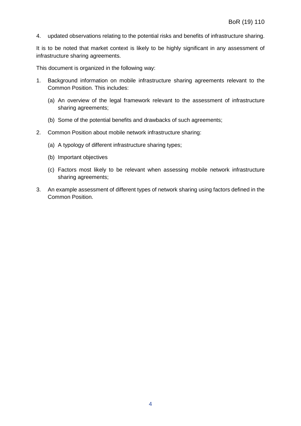4. updated observations relating to the potential risks and benefits of infrastructure sharing.

It is to be noted that market context is likely to be highly significant in any assessment of infrastructure sharing agreements.

This document is organized in the following way:

- 1. Background information on mobile infrastructure sharing agreements relevant to the Common Position. This includes:
	- (a) An overview of the legal framework relevant to the assessment of infrastructure sharing agreements;
	- (b) Some of the potential benefits and drawbacks of such agreements;
- 2. Common Position about mobile network infrastructure sharing:
	- (a) A typology of different infrastructure sharing types;
	- (b) Important objectives
	- (c) Factors most likely to be relevant when assessing mobile network infrastructure sharing agreements;
- 3. An example assessment of different types of network sharing using factors defined in the Common Position.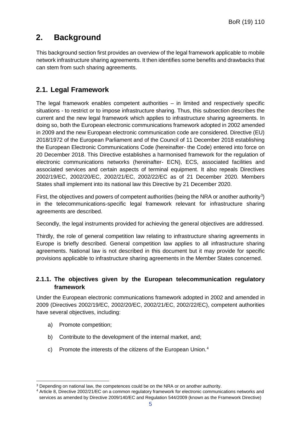## <span id="page-5-0"></span>**2. Background**

This background section first provides an overview of the legal framework applicable to mobile network infrastructure sharing agreements. It then identifies some benefits and drawbacks that can stem from such sharing agreements.

### <span id="page-5-1"></span>**2.1. Legal Framework**

The legal framework enables competent authorities – in limited and respectively specific situations - to restrict or to impose infrastructure sharing. Thus, this subsection describes the current and the new legal framework which applies to infrastructure sharing agreements. In doing so, both the European electronic communications framework adopted in 2002 amended in 2009 and the new European electronic communication code are considered. Directive (EU) 2018/1972 of the European Parliament and of the Council of 11 December 2018 establishing the European Electronic Communications Code (hereinafter- the Code) entered into force on 20 December 2018. This Directive establishes a harmonised framework for the regulation of electronic communications networks (hereinafter- ECN), ECS, associated facilities and associated services and certain aspects of terminal equipment. It also repeals Directives 2002/19/EC, 2002/20/EC, 2002/21/EC, 2002/22/EC as of 21 December 2020. Members States shall implement into its national law this Directive by 21 December 2020.

First, the objectives and powers of competent authorities (being the NRA or another authority<sup>[3](#page-5-3)</sup>) in the telecommunications-specific legal framework relevant for infrastructure sharing agreements are described.

Secondly, the legal instruments provided for achieving the general objectives are addressed.

Thirdly, the role of general competition law relating to infrastructure sharing agreements in Europe is briefly described. General competition law applies to all infrastructure sharing agreements. National law is not described in this document but it may provide for specific provisions applicable to infrastructure sharing agreements in the Member States concerned.

#### <span id="page-5-2"></span>**2.1.1. The objectives given by the European telecommunication regulatory framework**

Under the European electronic communications framework adopted in 2002 and amended in 2009 (Directives 2002/19/EC, 2002/20/EC, 2002/21/EC, 2002/22/EC), competent authorities have several objectives, including:

- a) Promote competition;
- b) Contribute to the development of the internal market, and;
- c) Promote the interests of the citizens of the European Union.[4](#page-5-4)

<span id="page-5-3"></span> <sup>3</sup> Depending on national law, the competences could be on the NRA or on another authority.

<span id="page-5-4"></span><sup>4</sup> Article 8, Directive 2002/21/EC on a common regulatory framework for electronic communications networks and services as amended by Directive 2009/140/EC and Regulation 544/2009 (known as the Framework Directive)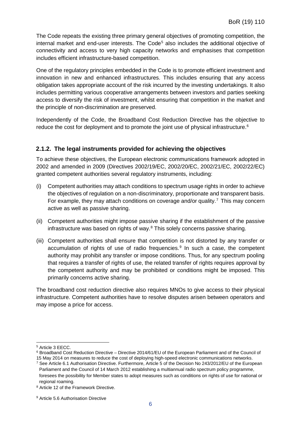The Code repeats the existing three primary general objectives of promoting competition, the internal market and end-user interests. The Code<sup>[5](#page-6-1)</sup> also includes the additional objective of connectivity and access to very high capacity networks and emphasises that competition includes efficient infrastructure-based competition.

One of the regulatory principles embedded in the Code is to promote efficient investment and innovation in new and enhanced infrastructures. This includes ensuring that any access obligation takes appropriate account of the risk incurred by the investing undertakings. It also includes permitting various cooperative arrangements between investors and parties seeking access to diversify the risk of investment, whilst ensuring that competition in the market and the principle of non-discrimination are preserved.

Independently of the Code, the Broadband Cost Reduction Directive has the objective to reduce the cost for deployment and to promote the joint use of physical infrastructure.<sup>[6](#page-6-2)</sup>

#### <span id="page-6-0"></span>**2.1.2. The legal instruments provided for achieving the objectives**

To achieve these objectives, the European electronic communications framework adopted in 2002 and amended in 2009 (Directives 2002/19/EC, 2002/20/EC, 2002/21/EC, 2002/22/EC) granted competent authorities several regulatory instruments, including:

- (i) Competent authorities may attach conditions to spectrum usage rights in order to achieve the objectives of regulation on a non-discriminatory, proportionate and transparent basis. For example, they may attach conditions on coverage and/or quality.<sup>[7](#page-6-3)</sup> This may concern active as well as passive sharing.
- (ii) Competent authorities might impose passive sharing if the establishment of the passive infrastructure was based on rights of way.[8](#page-6-4) This solely concerns passive sharing.
- (iii) Competent authorities shall ensure that competition is not distorted by any transfer or accumulation of rights of use of radio frequencies. $9$  In such a case, the competent authority may prohibit any transfer or impose conditions. Thus, for any spectrum pooling that requires a transfer of rights of use, the related transfer of rights requires approval by the competent authority and may be prohibited or conditions might be imposed. This primarily concerns active sharing.

The broadband cost reduction directive also requires MNOs to give access to their physical infrastructure. Competent authorities have to resolve disputes arisen between operators and may impose a price for access.

<span id="page-6-1"></span> <sup>5</sup> Article 3 EECC.

<span id="page-6-2"></span><sup>6</sup> Broadband Cost Reduction Directive – Directive 2014/61/EU of the European Parliament and of the Council of

<sup>15</sup> May 2014 on measures to reduce the cost of deploying high-speed electronic communications networks. <sup>7</sup> See Article 6.1 Authorisation Directive. Furthermore, Article 5 of the Decision No 243/2012/EU of the European

<span id="page-6-3"></span>Parliament and the Council of 14 March 2012 establishing a multiannual radio spectrum policy programme, foresees the possibility for Member states to adopt measures such as conditions on rights of use for national or regional roaming.

<span id="page-6-4"></span><sup>8</sup> Article 12 of the Framework Directive.

<span id="page-6-5"></span><sup>&</sup>lt;sup>9</sup> Article 5.6 Authorisation Directive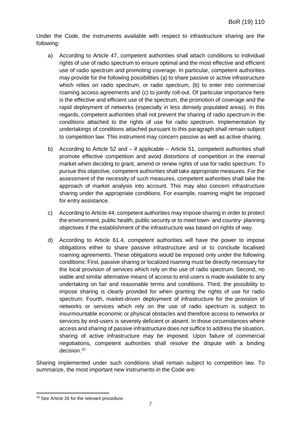Under the Code, the instruments available with respect to infrastructure sharing are the following:

- a) According to Article 47, competent authorities shall attach conditions to individual rights of use of radio spectrum to ensure optimal and the most effective and efficient use of radio spectrum and promoting coverage. In particular, competent authorities may provide for the following possibilities (a) to share passive or active infrastructure which relies on radio spectrum, or radio spectrum, (b) to enter into commercial roaming access agreements and (c) to jointly roll-out. Of particular importance here is the effective and efficient use of the spectrum, the promotion of coverage and the rapid deployment of networks (especially in less densely populated areas). In this regards, competent authorities shall not prevent the sharing of radio spectrum in the conditions attached to the rights of use for radio spectrum. Implementation by undertakings of conditions attached pursuant to this paragraph shall remain subject to competition law. This instrument may concern passive as well as active sharing.
- b) According to Article 52 and if applicable Article 51, competent authorities shall promote effective competition and avoid distortions of competition in the internal market when deciding to grant, amend or renew rights of use for radio spectrum. To pursue this objective, competent authorities shall take appropriate measures. For the assessment of the necessity of such measures, competent authorities shall take the approach of market analysis into account. This may also concern infrastructure sharing under the appropriate conditions. For example, roaming might be imposed for entry assistance.
- c) According to Article 44, competent authorities may impose sharing in order to protect the environment, public health, public security or to meet town- and country- planning objectives if the establishment of the infrastructure was based on rights of way.
- d) According to Article 61.4, competent authorities will have the power to impose obligations either to share passive infrastructure and or to conclude localised roaming agreements. These obligations would be imposed only under the following conditions: First, passive sharing or localized roaming must be directly necessary for the local provision of services which rely on the use of radio spectrum. Second, no viable and similar alternative means of access to end-users is made available to any undertaking on fair and reasonable terms and conditions. Third, the possibility to impose sharing is clearly provided for when granting the rights of use for radio spectrum. Fourth, market-driven deployment of infrastructure for the provision of networks or services which rely on the use of radio spectrum is subject to insurmountable economic or physical obstacles and therefore access to networks or services by end-users is severely deficient or absent. In those circumstances where access and sharing of passive infrastructure does not suffice to address the situation, sharing of active infrastructure may be imposed. Upon failure of commercial negotiations, competent authorities shall resolve the dispute with a binding decision.<sup>[10](#page-7-0)</sup>

Sharing implemented under such conditions shall remain subject to competition law. To summarize, the most important new instruments in the Code are:

<span id="page-7-0"></span> <sup>10</sup> See Article 26 for the relevant procedure.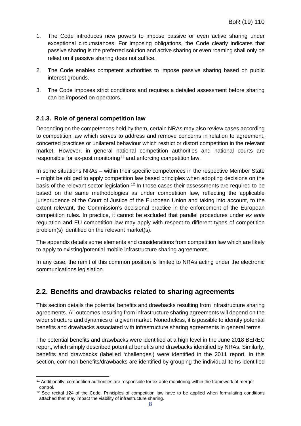- 1. The Code introduces new powers to impose passive or even active sharing under exceptional circumstances. For imposing obligations, the Code clearly indicates that passive sharing is the preferred solution and active sharing or even roaming shall only be relied on if passive sharing does not suffice.
- 2. The Code enables competent authorities to impose passive sharing based on public interest grounds.
- 3. The Code imposes strict conditions and requires a detailed assessment before sharing can be imposed on operators.

#### <span id="page-8-0"></span>**2.1.3. Role of general competition law**

Depending on the competences held by them, certain NRAs may also review cases according to competition law which serves to address and remove concerns in relation to agreement, concerted practices or unilateral behaviour which restrict or distort competition in the relevant market. However, in general national competition authorities and national courts are responsible for ex-post monitoring<sup>[11](#page-8-2)</sup> and enforcing competition law.

In some situations NRAs – within their specific competences in the respective Member State – might be obliged to apply competition law based principles when adopting decisions on the basis of the relevant sector legislation.<sup>[12](#page-8-3)</sup> In those cases their assessments are required to be based on the same methodologies as under competition law, reflecting the applicable jurisprudence of the Court of Justice of the European Union and taking into account, to the extent relevant, the Commission's decisional practice in the enforcement of the European competition rules. In practice, it cannot be excluded that parallel procedures under *ex ante* regulation and EU competition law may apply with respect to different types of competition problem(s) identified on the relevant market(s).

The appendix details some elements and considerations from competition law which are likely to apply to existing/potential mobile infrastructure sharing agreements.

In any case, the remit of this common position is limited to NRAs acting under the electronic communications legislation.

#### <span id="page-8-1"></span>**2.2. Benefits and drawbacks related to sharing agreements**

This section details the potential benefits and drawbacks resulting from infrastructure sharing agreements. All outcomes resulting from infrastructure sharing agreements will depend on the wider structure and dynamics of a given market. Nonetheless, it is possible to identify potential benefits and drawbacks associated with infrastructure sharing agreements in general terms.

The potential benefits and drawbacks were identified at a high level in the June 2018 BEREC report, which simply described potential benefits and drawbacks identified by NRAs. Similarly, benefits and drawbacks (labelled 'challenges') were identified in the 2011 report. In this section, common benefits/drawbacks are identified by grouping the individual items identified

<span id="page-8-2"></span> <sup>11</sup> Additionally, competition authorities are responsible for ex-ante monitoring within the framework of merger control.

<span id="page-8-3"></span><sup>&</sup>lt;sup>12</sup> See recital 124 of the Code. Principles of competition law have to be applied when formulating conditions attached that may impact the viability of infrastructure sharing.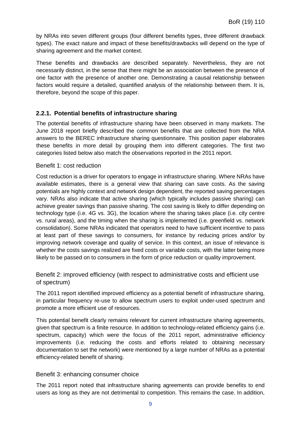by NRAs into seven different groups (four different benefits types, three different drawback types). The exact nature and impact of these benefits/drawbacks will depend on the type of sharing agreement and the market context.

These benefits and drawbacks are described separately. Nevertheless, they are not necessarily distinct, in the sense that there might be an association between the presence of one factor with the presence of another one. Demonstrating a causal relationship between factors would require a detailed, quantified analysis of the relationship between them. It is, therefore, beyond the scope of this paper.

#### <span id="page-9-0"></span>**2.2.1. Potential benefits of infrastructure sharing**

The potential benefits of infrastructure sharing have been observed in many markets. The June 2018 report briefly described the common benefits that are collected from the NRA answers to the BEREC infrastructure sharing questionnaire. This position paper elaborates these benefits in more detail by grouping them into different categories. The first two categories listed below also match the observations reported in the 2011 report.

#### Benefit 1: cost reduction

Cost reduction is a driver for operators to engage in infrastructure sharing. Where NRAs have available estimates, there is a general view that sharing can save costs. As the saving potentials are highly context and network design dependent, the reported saving percentages vary. NRAs also indicate that active sharing (which typically includes passive sharing) can achieve greater savings than passive sharing. The cost saving is likely to differ depending on technology type (i.e. 4G vs. 3G), the location where the sharing takes place (i.e. city centre vs. rural areas), and the timing when the sharing is implemented (i.e. greenfield vs. network consolidation). Some NRAs indicated that operators need to have sufficient incentive to pass at least part of these savings to consumers, for instance by reducing prices and/or by improving network coverage and quality of service. In this context, an issue of relevance is whether the costs savings realized are fixed costs or variable costs, with the latter being more likely to be passed on to consumers in the form of price reduction or quality improvement.

#### Benefit 2: improved efficiency (with respect to administrative costs and efficient use of spectrum)

The 2011 report identified improved efficiency as a potential benefit of infrastructure sharing, in particular frequency re-use to allow spectrum users to exploit under-used spectrum and promote a more efficient use of resources.

This potential benefit clearly remains relevant for current infrastructure sharing agreements, given that spectrum is a finite resource. In addition to technology-related efficiency gains (i.e. spectrum, capacity) which were the focus of the 2011 report, administrative efficiency improvements (i.e. reducing the costs and efforts related to obtaining necessary documentation to set the network) were mentioned by a large number of NRAs as a potential efficiency-related benefit of sharing.

#### Benefit 3: enhancing consumer choice

The 2011 report noted that infrastructure sharing agreements can provide benefits to end users as long as they are not detrimental to competition. This remains the case. In addition,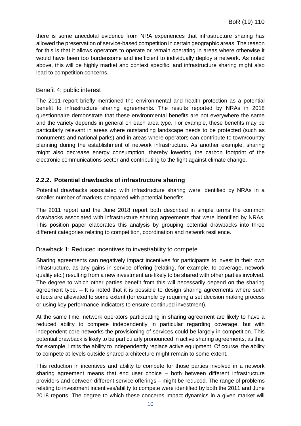there is some anecdotal evidence from NRA experiences that infrastructure sharing has allowed the preservation of service-based competition in certain geographic areas. The reason for this is that it allows operators to operate or remain operating in areas where otherwise it would have been too burdensome and inefficient to individually deploy a network. As noted above, this will be highly market and context specific, and infrastructure sharing might also lead to competition concerns.

#### Benefit 4: public interest

The 2011 report briefly mentioned the environmental and health protection as a potential benefit to infrastructure sharing agreements. The results reported by NRAs in 2018 questionnaire demonstrate that these environmental benefits are not everywhere the same and the variety depends in general on each area type. For example, these benefits may be particularly relevant in areas where outstanding landscape needs to be protected (such as monuments and national parks) and in areas where operators can contribute to town/country planning during the establishment of network infrastructure. As another example, sharing might also decrease energy consumption, thereby lowering the carbon footprint of the electronic communications sector and contributing to the fight against climate change.

#### <span id="page-10-0"></span>**2.2.2. Potential drawbacks of infrastructure sharing**

Potential drawbacks associated with infrastructure sharing were identified by NRAs in a smaller number of markets compared with potential benefits.

The 2011 report and the June 2018 report both described in simple terms the common drawbacks associated with infrastructure sharing agreements that were identified by NRAs. This position paper elaborates this analysis by grouping potential drawbacks into three different categories relating to competition, coordination and network resilience.

#### Drawback 1: Reduced incentives to invest/ability to compete

Sharing agreements can negatively impact incentives for participants to invest in their own infrastructure, as any gains in service offering (relating, for example, to coverage, network quality etc.) resulting from a new investment are likely to be shared with other parties involved. The degree to which other parties benefit from this will necessarily depend on the sharing agreement type. – It is noted that it is possible to design sharing agreements where such effects are alleviated to some extent (for example by requiring a set decision making process or using key performance indicators to ensure continued investment).

At the same time, network operators participating in sharing agreement are likely to have a reduced ability to compete independently in particular regarding coverage, but with independent core networks the provisioning of services could be largely in competition. This potential drawback is likely to be particularly pronounced in active sharing agreements, as this, for example, limits the ability to independently replace active equipment. Of course, the ability to compete at levels outside shared architecture might remain to some extent.

This reduction in incentives and ability to compete for those parties involved in a network sharing agreement means that end user choice – both between different infrastructure providers and between different service offerings – might be reduced. The range of problems relating to investment incentives/ability to compete were identified by both the 2011 and June 2018 reports. The degree to which these concerns impact dynamics in a given market will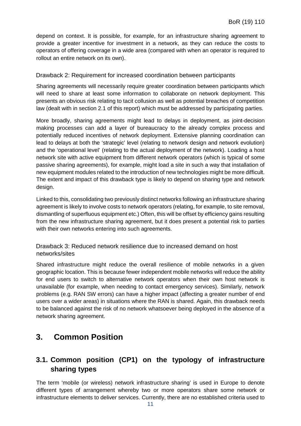depend on context. It is possible, for example, for an infrastructure sharing agreement to provide a greater incentive for investment in a network, as they can reduce the costs to operators of offering coverage in a wide area (compared with when an operator is required to rollout an entire network on its own).

#### Drawback 2: Requirement for increased coordination between participants

Sharing agreements will necessarily require greater coordination between participants which will need to share at least some information to collaborate on network deployment. This presents an obvious risk relating to tacit collusion as well as potential breaches of competition law (dealt with in section 2.1 of this report) which must be addressed by participating parties.

More broadly, sharing agreements might lead to delays in deployment, as joint-decision making processes can add a layer of bureaucracy to the already complex process and potentially reduced incentives of network deployment. Extensive planning coordination can lead to delays at both the 'strategic' level (relating to network design and network evolution) and the 'operational level' (relating to the actual deployment of the network). Loading a host network site with active equipment from different network operators (which is typical of some passive sharing agreements), for example, might load a site in such a way that installation of new equipment modules related to the introduction of new technologies might be more difficult. The extent and impact of this drawback type is likely to depend on sharing type and network design.

Linked to this, consolidating two previously distinct networks following an infrastructure sharing agreement is likely to involve costs to network operators (relating, for example, to site removal, dismantling of superfluous equipment etc.) Often, this will be offset by efficiency gains resulting from the new infrastructure sharing agreement, but it does present a potential risk to parties with their own networks entering into such agreements.

Drawback 3: Reduced network resilience due to increased demand on host networks/sites

Shared infrastructure might reduce the overall resilience of mobile networks in a given geographic location. This is because fewer independent mobile networks will reduce the ability for end users to switch to alternative network operators when their own host network is unavailable (for example, when needing to contact emergency services). Similarly, network problems (e.g. RAN SW errors) can have a higher impact (affecting a greater number of end users over a wider areas) in situations where the RAN is shared. Again, this drawback needs to be balanced against the risk of no network whatsoever being deployed in the absence of a network sharing agreement.

## <span id="page-11-0"></span>**3. Common Position**

### <span id="page-11-1"></span>**3.1. Common position (CP1) on the typology of infrastructure sharing types**

The term 'mobile (or wireless) network infrastructure sharing' is used in Europe to denote different types of arrangement whereby two or more operators share some network or infrastructure elements to deliver services. Currently, there are no established criteria used to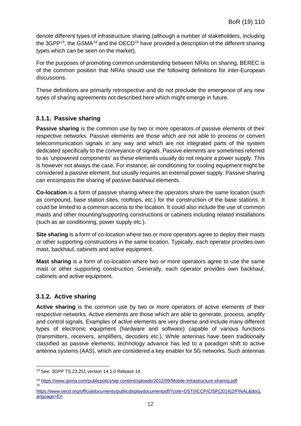denote different types of infrastructure sharing (although a number of stakeholders, including the 3GPP<sup>[13](#page-12-2)</sup>, the GSMA<sup>[14](#page-12-3)</sup> and the OECD<sup>[15](#page-12-4)</sup> have provided a description of the different sharing types which can be seen on the market).

For the purposes of promoting common understanding between NRAs on sharing, BEREC is of the common position that NRAs should use the following definitions for inter-European discussions.

These definitions are primarily retrospective and do not preclude the emergence of any new types of sharing agreements not described here which might emerge in future.

#### <span id="page-12-0"></span>**3.1.1. Passive sharing**

**Passive sharing** is the common use by two or more operators of passive elements of their respective networks. Passive elements are those which are not able to process or convert telecommunication signals in any way and which are not integrated parts of the system dedicated specifically to the conveyance of signals. Passive elements are sometimes referred to as 'unpowered components' as these elements usually do not require a power supply. This is however not always the case. For instance, air conditioning for cooling equipment might be considered a passive element, but usually requires an external power supply. Passive sharing can encompass the sharing of passive backhaul elements.

**Co-location** is a form of passive sharing where the operators share the same location (such as compound, base station sites, rooftops, etc.) for the construction of the base stations. It could be limited to a common access to the location. It could also include the use of common masts and other mounting/supporting constructions or cabinets including related installations (such as air conditioning, power supply etc.).

**Site sharing** is a form of co-location where two or more operators agree to deploy their masts or other supporting constructions in the same location. Typically, each operator provides own mast, backhaul, cabinets and active equipment.

**Mast sharing** is a form of co-location where two or more operators agree to use the same mast or other supporting construction. Generally, each operator provides own backhaul, cabinets and active equipment.

#### <span id="page-12-1"></span>**3.1.2. Active sharing**

15

**Active sharing** is the common use by two or more operators of active elements of their respective networks. Active elements are those which are able to generate, process, amplify and control signals. Examples of active elements are very diverse and include many different types of electronic equipment (hardware and software) capable of various functions (transmitters, receivers, amplifiers, decoders etc.). While antennas have been traditionally classified as passive elements, technology advance has led to a paradigm shift to active antenna systems (AAS), which are considered a key enabler for 5G networks. Such antennas

<span id="page-12-2"></span> <sup>13</sup> See: 3GPP TS 23.251 version 14.1.0 Release 14

<span id="page-12-3"></span><sup>14</sup> <https://www.gsma.com/publicpolicy/wp-content/uploads/2012/09/Mobile-Infrastructure-sharing.pdf>

<span id="page-12-4"></span>[https://www.oecd.org/officialdocuments/publicdisplaydocumentpdf/?cote=DSTI/ICCP/CISP\(2014\)2/FINAL&docL](https://www.oecd.org/officialdocuments/publicdisplaydocumentpdf/?cote=DSTI/ICCP/CISP(2014)2/FINAL&docLanguage=En)  [anguage=En](https://www.oecd.org/officialdocuments/publicdisplaydocumentpdf/?cote=DSTI/ICCP/CISP(2014)2/FINAL&docLanguage=En)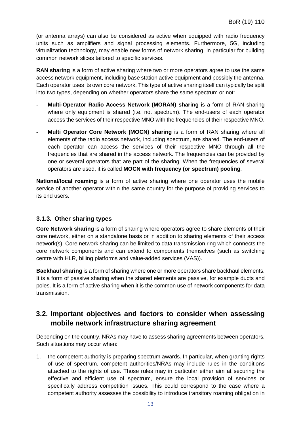(or antenna arrays) can also be considered as active when equipped with radio frequency units such as amplifiers and signal processing elements. Furthermore, 5G, including virtualization technology, may enable new forms of network sharing, in particular for building common network slices tailored to specific services.

**RAN sharing** is a form of active sharing where two or more operators agree to use the same access network equipment, including base station active equipment and possibly the antenna. Each operator uses its own core network. This type of active sharing itself can typically be split into two types, depending on whether operators share the same spectrum or not:

- **Multi-Operator Radio Access Network (MORAN) sharing** is a form of RAN sharing where only equipment is shared (i.e. not spectrum). The end-users of each operator access the services of their respective MNO with the frequencies of their respective MNO.
- **Multi Operator Core Network (MOCN) sharing** is a form of RAN sharing where all elements of the radio access network, including spectrum, are shared. The end-users of each operator can access the services of their respective MNO through all the frequencies that are shared in the access network. The frequencies can be provided by one or several operators that are part of the sharing. When the frequencies of several operators are used, it is called **MOCN with frequency (or spectrum) pooling**.

**National/local roaming** is a form of active sharing where one operator uses the mobile service of another operator within the same country for the purpose of providing services to its end users.

#### <span id="page-13-0"></span>**3.1.3. Other sharing types**

**Core Network sharing** is a form of sharing where operators agree to share elements of their core network, either on a standalone basis or in addition to sharing elements of their access network(s). Core network sharing can be limited to data transmission ring which connects the core network components and can extend to components themselves (such as switching centre with HLR, billing platforms and value-added services (VAS)).

**Backhaul sharing** is a form of sharing where one or more operators share backhaul elements. It is a form of passive sharing when the shared elements are passive, for example ducts and poles. It is a form of active sharing when it is the common use of network components for data transmission.

### <span id="page-13-1"></span>**3.2. Important objectives and factors to consider when assessing mobile network infrastructure sharing agreement**

Depending on the country, NRAs may have to assess sharing agreements between operators. Such situations may occur when:

1. the competent authority is preparing spectrum awards. In particular, when granting rights of use of spectrum, competent authorities/NRAs may include rules in the conditions attached to the rights of use. Those rules may in particular either aim at securing the effective and efficient use of spectrum, ensure the local provision of services or specifically address competition issues. This could correspond to the case where a competent authority assesses the possibility to introduce transitory roaming obligation in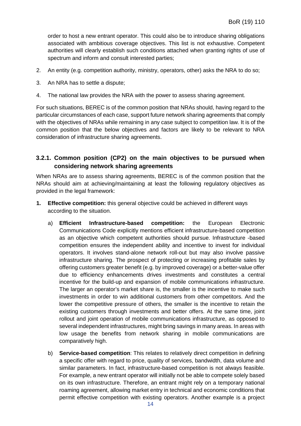order to host a new entrant operator. This could also be to introduce sharing obligations associated with ambitious coverage objectives. This list is not exhaustive. Competent authorities will clearly establish such conditions attached when granting rights of use of spectrum and inform and consult interested parties;

- 2. An entity (e.g. competition authority, ministry, operators, other) asks the NRA to do so;
- 3. An NRA has to settle a dispute;
- 4. The national law provides the NRA with the power to assess sharing agreement.

For such situations, BEREC is of the common position that NRAs should, having regard to the particular circumstances of each case, support future network sharing agreements that comply with the objectives of NRAs while remaining in any case subject to competition law. It is of the common position that the below objectives and factors are likely to be relevant to NRA consideration of infrastructure sharing agreements.

#### <span id="page-14-1"></span><span id="page-14-0"></span>**3.2.1. Common position (CP2) on the main objectives to be pursued when considering network sharing agreements**

When NRAs are to assess sharing agreements, BEREC is of the common position that the NRAs should aim at achieving/maintaining at least the following regulatory objectives as provided in the legal framework:

- **1. Effective competition:** this general objective could be achieved in different ways according to the situation.
	- a) **Efficient Infrastructure-based competition:** the European Electronic Communications Code explicitly mentions efficient infrastructure-based competition as an objective which competent authorities should pursue. Infrastructure -based competition ensures the independent ability and incentive to invest for individual operators. It involves stand-alone network roll-out but may also involve passive infrastructure sharing. The prospect of protecting or increasing profitable sales by offering customers greater benefit (e.g. by improved coverage) or a better-value offer due to efficiency enhancements drives investments and constitutes a central incentive for the build-up and expansion of mobile communications infrastructure. The larger an operator's market share is, the smaller is the incentive to make such investments in order to win additional customers from other competitors. And the lower the competitive pressure of others, the smaller is the incentive to retain the existing customers through investments and better offers. At the same time, joint rollout and joint operation of mobile communications infrastructure, as opposed to several independent infrastructures, might bring savings in many areas. In areas with low usage the benefits from network sharing in mobile communications are comparatively high.
	- b) **Service-based competition**: This relates to relatively direct competition in defining a specific offer with regard to price, quality of services, bandwidth, data volume and similar parameters. In fact, infrastructure-based competition is not always feasible. For example, a new entrant operator will initially not be able to compete solely based on its own infrastructure. Therefore, an entrant might rely on a temporary national roaming agreement, allowing market entry in technical and economic conditions that permit effective competition with existing operators. Another example is a project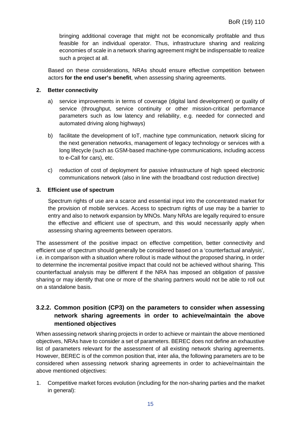bringing additional coverage that might not be economically profitable and thus feasible for an individual operator. Thus, infrastructure sharing and realizing economies of scale in a network sharing agreement might be indispensable to realize such a project at all.

Based on these considerations, NRAs should ensure effective competition between actors **for the end user's benefit**, when assessing sharing agreements.

#### **2. Better connectivity**

- a) service improvements in terms of coverage (digital land development) or quality of service (throughput, service continuity or other mission-critical performance parameters such as low latency and reliability, e.g. needed for connected and automated driving along highways)
- b) facilitate the development of IoT, machine type communication, network slicing for the next generation networks, management of legacy technology or services with a long lifecycle (such as GSM-based machine-type communications, including access to e-Call for cars), etc.
- c) reduction of cost of deployment for passive infrastructure of high speed electronic communications network (also in line with the broadband cost reduction directive)

#### **3. Efficient use of spectrum**

Spectrum rights of use are a scarce and essential input into the concentrated market for the provision of mobile services. Access to spectrum rights of use may be a barrier to entry and also to network expansion by MNOs. Many NRAs are legally required to ensure the effective and efficient use of spectrum, and this would necessarily apply when assessing sharing agreements between operators.

The assessment of the positive impact on effective competition, better connectivity and efficient use of spectrum should generally be considered based on a 'counterfactual analysis', i.e. in comparison with a situation where rollout is made without the proposed sharing, in order to determine the incremental positive impact that could not be achieved without sharing. This counterfactual analysis may be different if the NRA has imposed an obligation of passive sharing or may identify that one or more of the sharing partners would not be able to roll out on a standalone basis.

#### <span id="page-15-0"></span>**3.2.2. Common position (CP3) on the parameters to consider when assessing network sharing agreements in order to achieve/maintain the above mentioned objectives**

When assessing network sharing projects in order to achieve or maintain the above mentioned objectives, NRAs have to consider a set of parameters. BEREC does not define an exhaustive list of parameters relevant for the assessment of all existing network sharing agreements. However, BEREC is of the common position that, inter alia, the following parameters are to be considered when assessing network sharing agreements in order to achieve/maintain the above mentioned objectives:

1. Competitive market forces evolution (including for the non-sharing parties and the market in general):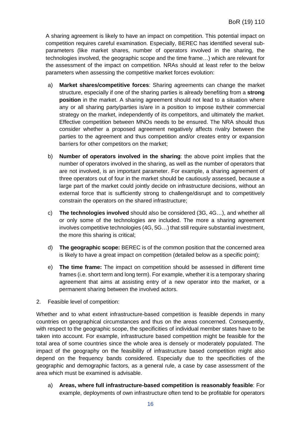A sharing agreement is likely to have an impact on competition. This potential impact on competition requires careful examination. Especially, BEREC has identified several subparameters (like market shares, number of operators involved in the sharing, the technologies involved, the geographic scope and the time frame…) which are relevant for the assessment of the impact on competition. NRAs should at least refer to the below parameters when assessing the competitive market forces evolution:

- a) **Market shares/competitive forces**: Sharing agreements can change the market structure, especially if one of the sharing parties is already benefiting from a **strong position** in the market. A sharing agreement should not lead to a situation where any or all sharing party/parties is/are in a position to impose its/their commercial strategy on the market, independently of its competitors, and ultimately the market. Effective competition between MNOs needs to be ensured. The NRA should thus consider whether a proposed agreement negatively affects rivalry between the parties to the agreement and thus competition and/or creates entry or expansion barriers for other competitors on the market;
- b) **Number of operators involved in the sharing**: the above point implies that the number of operators involved in the sharing, as well as the number of operators that are not involved, is an important parameter. For example, a sharing agreement of three operators out of four in the market should be cautiously assessed, because a large part of the market could jointly decide on infrastructure decisions, without an external force that is sufficiently strong to challenge/disrupt and to competitively constrain the operators on the shared infrastructure;
- c) **The technologies involved** should also be considered (3G, 4G…), and whether all or only some of the technologies are included. The more a sharing agreement involves competitive technologies (4G, 5G…) that still require substantial investment, the more this sharing is critical;
- d) **The geographic scope:** BEREC is of the common position that the concerned area is likely to have a great impact on competition (detailed below as a specific point);
- e) **The time frame:** The impact on competition should be assessed in different time frames (i.e. short term and long term). For example, whether it is a temporary sharing agreement that aims at assisting entry of a new operator into the market, or a permanent sharing between the involved actors.
- 2. Feasible level of competition:

Whether and to what extent infrastructure-based competition is feasible depends in many countries on geographical circumstances and thus on the areas concerned. Consequently, with respect to the geographic scope, the specificities of individual member states have to be taken into account. For example, infrastructure based competition might be feasible for the total area of some countries since the whole area is densely or moderately populated. The impact of the geography on the feasibility of infrastructure based competition might also depend on the frequency bands considered. Especially due to the specificities of the geographic and demographic factors, as a general rule, a case by case assessment of the area which must be examined is advisable.

a) **Areas, where full infrastructure-based competition is reasonably feasible**: For example, deployments of own infrastructure often tend to be profitable for operators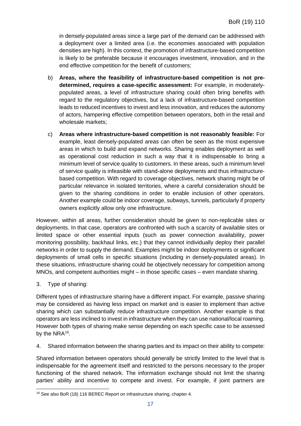in densely-populated areas since a large part of the demand can be addressed with a deployment over a limited area (i.e. the economies associated with population densities are high). In this context, the promotion of infrastructure-based competition is likely to be preferable because it encourages investment, innovation, and in the end effective competition for the benefit of customers;

- b) **Areas, where the feasibility of infrastructure-based competition is not predetermined, requires a case-specific assessment:** For example, in moderatelypopulated areas, a level of infrastructure sharing could often bring benefits with regard to the regulatory objectives, but a lack of infrastructure-based competition leads to reduced incentives to invest and less innovation, and reduces the autonomy of actors, hampering effective competition between operators, both in the retail and wholesale markets;
- c) **Areas where infrastructure-based competition is not reasonably feasible:** For example, least densely-populated areas can often be seen as the most expensive areas in which to build and expand networks. Sharing enables deployment as well as operational cost reduction in such a way that it is indispensable to bring a minimum level of service quality to customers. In these areas, such a minimum level of service quality is infeasible with stand-alone deployments and thus infrastructurebased competition. With regard to coverage objectives, network sharing might be of particular relevance in isolated territories, where a careful consideration should be given to the sharing conditions in order to enable inclusion of other operators. Another example could be indoor coverage, subways, tunnels, particularly if property owners explicitly allow only one infrastructure.

However, within all areas, further consideration should be given to non-replicable sites or deployments. In that case, operators are confronted with such a scarcity of available sites or limited space or other essential inputs (such as power connection availability, power monitoring possibility, backhaul links, etc.) that they cannot individually deploy their parallel networks in order to supply the demand. Examples might be indoor deployments or significant deployments of small cells in specific situations (including in densely-populated areas). In these situations, infrastructure sharing could be objectively necessary for competition among MNOs, and competent authorities might – in those specific cases – even mandate sharing.

3. Type of sharing:

Different types of infrastructure sharing have a different impact. For example, passive sharing may be considered as having less impact on market and is easier to implement than active sharing which can substantially reduce infrastructure competition. Another example is that operators are less inclined to invest in infrastructure when they can use national/local roaming. However both types of sharing make sense depending on each specific case to be assessed by the NRA<sup>[16](#page-17-0)</sup>.

4. Shared information between the sharing parties and its impact on their ability to compete:

Shared information between operators should generally be strictly limited to the level that is indispensable for the agreement itself and restricted to the persons necessary to the proper functioning of the shared network. The information exchange should not limit the sharing parties' ability and incentive to compete and invest. For example, if joint partners are

<span id="page-17-0"></span><sup>&</sup>lt;sup>16</sup> See also BoR (18) 116 BEREC Report on infrastructure sharing, chapter 4.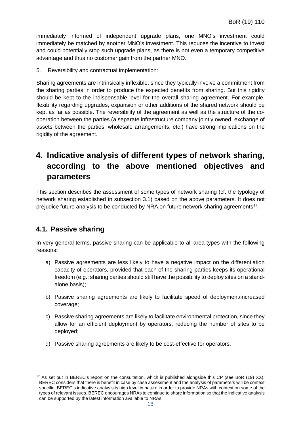immediately informed of independent upgrade plans, one MNO's investment could immediately be matched by another MNO's investment. This reduces the incentive to invest and could potentially stop such upgrade plans, as there is not even a temporary competitive advantage and thus no customer gain from the partner MNO.

5. Reversibility and contractual implementation:

Sharing agreements are intrinsically inflexible, since they typically involve a commitment from the sharing parties in order to produce the expected benefits from sharing. But this rigidity should be kept to the indispensable level for the overall sharing agreement. For example, flexibility regarding upgrades, expansion or other additions of the shared network should be kept as far as possible. The reversibility of the agreement as well as the structure of the cooperation between the parties (a separate infrastructure company jointly owned, exchange of assets between the parties, wholesale arrangements, etc.) have strong implications on the rigidity of the agreement.

## <span id="page-18-0"></span>**4. Indicative analysis of different types of network sharing, according to the above mentioned objectives and parameters**

This section describes the assessment of some types of network sharing (cf. the typology of network sharing established in subsection 3.1) based on the above parameters. It does not prejudice future analysis to be conducted by NRA on future network sharing agreements<sup>17</sup>.

### <span id="page-18-1"></span>**4.1. Passive sharing**

In very general terms, passive sharing can be applicable to all area types with the following reasons:

- a) Passive agreements are less likely to have a negative impact on the differentiation capacity of operators, provided that each of the sharing parties keeps its operational freedom (e.g.: sharing parties should still have the possibility to deploy sites on a standalone basis);
- b) Passive sharing agreements are likely to facilitate speed of deployment/increased coverage;
- c) Passive sharing agreements are likely to facilitate environmental protection, since they allow for an efficient deployment by operators, reducing the number of sites to be deployed;
- d) Passive sharing agreements are likely to be cost-effective for operators.

<span id="page-18-2"></span><sup>&</sup>lt;sup>17</sup> As set out in BEREC's report on the consultation, which is published alongside this CP (see BoR (19) XX), BEREC considers that there is benefit in case by case assessment and the analysis of parameters will be context specific. BEREC's indicative analysis is high level in nature in order to provide NRAs with context on some of the types of relevant issues. BEREC encourages NRAs to continue to share information so that the indicative analysis can be supported by the latest information available to NRAs.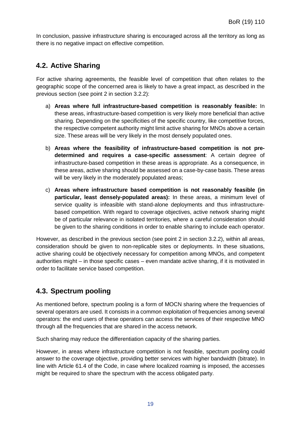In conclusion, passive infrastructure sharing is encouraged across all the territory as long as there is no negative impact on effective competition.

### <span id="page-19-0"></span>**4.2. Active Sharing**

For active sharing agreements, the feasible level of competition that often relates to the geographic scope of the concerned area is likely to have a great impact, as described in the previous section (see point 2 in section [3.2.2\)](#page-15-0):

- a) **Areas where full infrastructure-based competition is reasonably feasible:** In these areas, infrastructure-based competition is very likely more beneficial than active sharing. Depending on the specificities of the specific country, like competitive forces, the respective competent authority might limit active sharing for MNOs above a certain size. These areas will be very likely in the most densely populated ones.
- b) **Areas where the feasibility of infrastructure-based competition is not predetermined and requires a case-specific assessment**: A certain degree of infrastructure-based competition in these areas is appropriate. As a consequence, in these areas, active sharing should be assessed on a case-by-case basis. These areas will be very likely in the moderately populated areas:
- c) **Areas where infrastructure based competition is not reasonably feasible (in particular, least densely-populated areas):** In these areas, a minimum level of service quality is infeasible with stand-alone deployments and thus infrastructurebased competition. With regard to coverage objectives, active network sharing might be of particular relevance in isolated territories, where a careful consideration should be given to the sharing conditions in order to enable sharing to include each operator.

However, as described in the previous section (see point 2 in section [3.2.2\)](#page-15-0), within all areas, consideration should be given to non-replicable sites or deployments. In these situations, active sharing could be objectively necessary for competition among MNOs, and competent authorities might – in those specific cases – even mandate active sharing, if it is motivated in order to facilitate service based competition.

### <span id="page-19-1"></span>**4.3. Spectrum pooling**

As mentioned before, spectrum pooling is a form of MOCN sharing where the frequencies of several operators are used. It consists in a common exploitation of frequencies among several operators: the end users of these operators can access the services of their respective MNO through all the frequencies that are shared in the access network.

Such sharing may reduce the differentiation capacity of the sharing parties.

However, in areas where infrastructure competition is not feasible, spectrum pooling could answer to the coverage objective, providing better services with higher bandwidth (bitrate). In line with Article 61.4 of the Code, in case where localized roaming is imposed, the accesses might be required to share the spectrum with the access obligated party.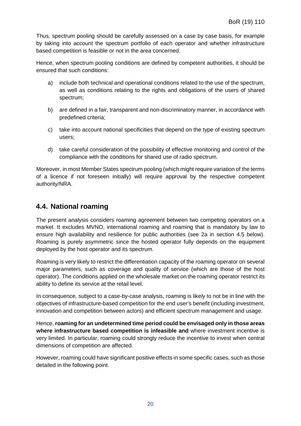Thus, spectrum pooling should be carefully assessed on a case by case basis, for example by taking into account the spectrum portfolio of each operator and whether infrastructure based competition is feasible or not in the area concerned.

Hence, when spectrum pooling conditions are defined by competent authorities, it should be ensured that such conditions:

- a) include both technical and operational conditions related to the use of the spectrum, as well as conditions relating to the rights and obligations of the users of shared spectrum;
- b) are defined in a fair, transparent and non-discriminatory manner, in accordance with predefined criteria;
- c) take into account national specificities that depend on the type of existing spectrum users;
- d) take careful consideration of the possibility of effective monitoring and control of the compliance with the conditions for shared use of radio spectrum.

Moreover, in most Member States spectrum pooling (which might require variation of the terms of a licence if not foreseen initially) will require approval by the respective competent authority/NRA.

### <span id="page-20-0"></span>**4.4. National roaming**

The present analysis considers roaming agreement between two competing operators on a market. It excludes MVNO, international roaming and roaming that is mandatory by law to ensure high availability and resilience for public authorities (see 2a in section [4.5](#page-21-0) below). Roaming is purely asymmetric since the hosted operator fully depends on the equipment deployed by the host operator and its spectrum.

Roaming is very likely to restrict the differentiation capacity of the roaming operator on several major parameters, such as coverage and quality of service (which are those of the host operator). The conditions applied on the wholesale market on the roaming operator restrict its ability to define its service at the retail level.

In consequence, subject to a case-by-case analysis, roaming is likely to not be in line with the objectives of infrastructure-based competition for the end user's benefit (including investment, innovation and competition between actors) and efficient spectrum management and usage.

Hence, **roaming for an undetermined time period could be envisaged only in those areas where infrastructure based competition is infeasible and** where investment incentive is very limited. In particular, roaming could strongly reduce the incentive to invest when central dimensions of competition are affected.

However, roaming could have significant positive effects in some specific cases, such as those detailed in the following point.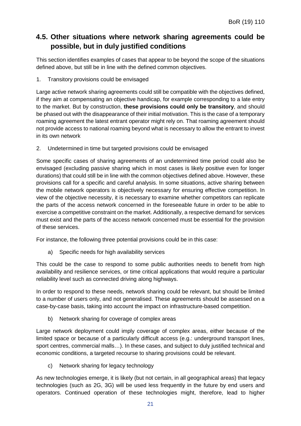### <span id="page-21-0"></span>**4.5. Other situations where network sharing agreements could be possible, but in duly justified conditions**

This section identifies examples of cases that appear to be beyond the scope of the situations defined above, but still be in line with the defined common objectives.

1. Transitory provisions could be envisaged

Large active network sharing agreements could still be compatible with the objectives defined, if they aim at compensating an objective handicap, for example corresponding to a late entry to the market. But by construction, **these provisions could only be transitory**, and should be phased out with the disappearance of their initial motivation. This is the case of a temporary roaming agreement the latest entrant operator might rely on. That roaming agreement should not provide access to national roaming beyond what is necessary to allow the entrant to invest in its own network

2. Undetermined in time but targeted provisions could be envisaged

Some specific cases of sharing agreements of an undetermined time period could also be envisaged (excluding passive sharing which in most cases is likely positive even for longer durations) that could still be in line with the common objectives defined above. However, these provisions call for a specific and careful analysis. In some situations, active sharing between the mobile network operators is objectively necessary for ensuring effective competition. In view of the objective necessity, it is necessary to examine whether competitors can replicate the parts of the access network concerned in the foreseeable future in order to be able to exercise a competitive constraint on the market. Additionally, a respective demand for services must exist and the parts of the access network concerned must be essential for the provision of these services.

For instance, the following three potential provisions could be in this case:

a) Specific needs for high availability services

This could be the case to respond to some public authorities needs to benefit from high availability and resilience services, or time critical applications that would require a particular reliability level such as connected driving along highways.

In order to respond to these needs, network sharing could be relevant, but should be limited to a number of users only, and not generalised. These agreements should be assessed on a case-by-case basis, taking into account the impact on infrastructure-based competition.

b) Network sharing for coverage of complex areas

Large network deployment could imply coverage of complex areas, either because of the limited space or because of a particularly difficult access (e.g.: underground transport lines, sport centres, commercial malls…). In these cases, and subject to duly justified technical and economic conditions, a targeted recourse to sharing provisions could be relevant.

c) Network sharing for legacy technology

As new technologies emerge, it is likely (but not certain, in all geographical areas) that legacy technologies (such as 2G, 3G) will be used less frequently in the future by end users and operators. Continued operation of these technologies might, therefore, lead to higher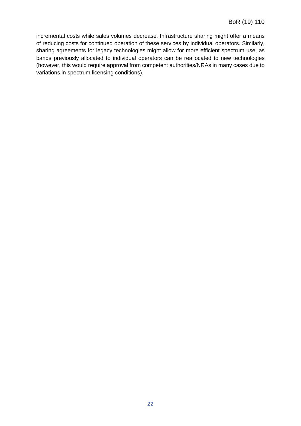incremental costs while sales volumes decrease. Infrastructure sharing might offer a means of reducing costs for continued operation of these services by individual operators. Similarly, sharing agreements for legacy technologies might allow for more efficient spectrum use, as bands previously allocated to individual operators can be reallocated to new technologies (however, this would require approval from competent authorities/NRAs in many cases due to variations in spectrum licensing conditions).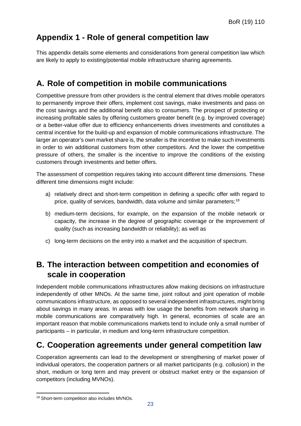## <span id="page-23-0"></span>**Appendix 1 - Role of general competition law**

This appendix details some elements and considerations from general competition law which are likely to apply to existing/potential mobile infrastructure sharing agreements.

## **A. Role of competition in mobile communications**

Competitive pressure from other providers is the central element that drives mobile operators to permanently improve their offers, implement cost savings, make investments and pass on the cost savings and the additional benefit also to consumers. The prospect of protecting or increasing profitable sales by offering customers greater benefit (e.g. by improved coverage) or a better-value offer due to efficiency enhancements drives investments and constitutes a central incentive for the build-up and expansion of mobile communications infrastructure. The larger an operator's own market share is, the smaller is the incentive to make such investments in order to win additional customers from other competitors. And the lower the competitive pressure of others, the smaller is the incentive to improve the conditions of the existing customers through investments and better offers.

The assessment of competition requires taking into account different time dimensions. These different time dimensions might include:

- a) relatively direct and short-term competition in defining a specific offer with regard to price, quality of services, bandwidth, data volume and similar parameters;[18](#page-23-1)
- b) medium-term decisions, for example, on the expansion of the mobile network or capacity, the increase in the degree of geographic coverage or the improvement of quality (such as increasing bandwidth or reliability); as well as
- c) long-term decisions on the entry into a market and the acquisition of spectrum.

## **B. The interaction between competition and economies of scale in cooperation**

Independent mobile communications infrastructures allow making decisions on infrastructure independently of other MNOs. At the same time, joint rollout and joint operation of mobile communications infrastructure, as opposed to several independent infrastructures, might bring about savings in many areas. In areas with low usage the benefits from network sharing in mobile communications are comparatively high. In general, economies of scale are an important reason that mobile communications markets tend to include only a small number of participants – in particular, in medium and long-term infrastructure competition.

## **C. Cooperation agreements under general competition law**

Cooperation agreements can lead to the development or strengthening of market power of individual operators, the cooperation partners or all market participants (e.g. collusion) in the short, medium or long term and may prevent or obstruct market entry or the expansion of competitors (including MVNOs).

<span id="page-23-1"></span> <sup>18</sup> Short-term competition also includes MVNOs.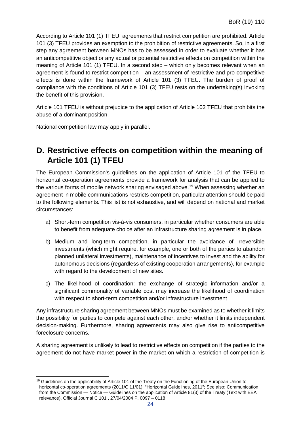According to Article 101 (1) TFEU, agreements that restrict competition are prohibited. Article 101 (3) TFEU provides an exemption to the prohibition of restrictive agreements. So, in a first step any agreement between MNOs has to be assessed in order to evaluate whether it has an anticompetitive object or any actual or potential restrictive effects on competition within the meaning of Article 101 (1) TFEU. In a second step – which only becomes relevant when an agreement is found to restrict competition – an assessment of restrictive and pro-competitive effects is done within the framework of Article 101 (3) TFEU. The burden of proof of compliance with the conditions of Article 101 (3) TFEU rests on the undertaking(s) invoking the benefit of this provision.

Article 101 TFEU is without prejudice to the application of Article 102 TFEU that prohibits the abuse of a dominant position.

National competition law may apply in parallel.

### **D. Restrictive effects on competition within the meaning of Article 101 (1) TFEU**

The European Commission's guidelines on the application of Article 101 of the TFEU to horizontal co-operation agreements provide a framework for analysis that can be applied to the various forms of mobile network sharing envisaged above.<sup>[19](#page-24-0)</sup> When assessing whether an agreement in mobile communications restricts competition, particular attention should be paid to the following elements. This list is not exhaustive, and will depend on national and market circumstances:

- a) Short-term competition vis-à-vis consumers, in particular whether consumers are able to benefit from adequate choice after an infrastructure sharing agreement is in place.
- b) Medium and long-term competition, in particular the avoidance of irreversible investments (which might require, for example, one or both of the parties to abandon planned unilateral investments), maintenance of incentives to invest and the ability for autonomous decisions (regardless of existing cooperation arrangements), for example with regard to the development of new sites.
- c) The likelihood of coordination: the exchange of strategic information and/or a significant commonality of variable cost may increase the likelihood of coordination with respect to short-term competition and/or infrastructure investment

Any infrastructure sharing agreement between MNOs must be examined as to whether it limits the possibility for parties to compete against each other, and/or whether it limits independent decision-making. Furthermore, sharing agreements may also give rise to anticompetitive foreclosure concerns.

A sharing agreement is unlikely to lead to restrictive effects on competition if the parties to the agreement do not have market power in the market on which a restriction of competition is

<span id="page-24-0"></span><sup>&</sup>lt;sup>19</sup> Guidelines on the applicability of Article 101 of the Treaty on the Functioning of the European Union to horizontal co-operation agreements (2011/C 11/01), "Horizontal Guidelines, 2011"; See also: Communication from the Commission — Notice — Guidelines on the application of Article 81(3) of the Treaty (Text with EEA relevance), Official Journal C 101 , 27/04/2004 P. 0097 – 0118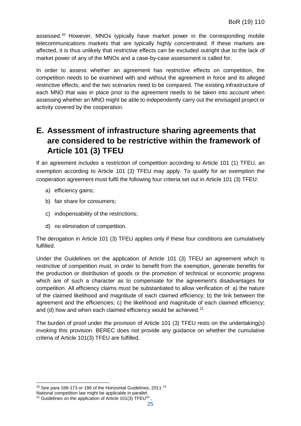assessed.<sup>[20](#page-25-0)</sup> However, MNOs typically have market power in the corresponding mobile telecommunications markets that are typically highly concentrated. If these markets are affected, it is thus unlikely that restrictive effects can be excluded outright due to the lack of market power of any of the MNOs and a case-by-case assessment is called for.

In order to assess whether an agreement has restrictive effects on competition, the competition needs to be examined with and without the agreement in force and its alleged restrictive effects; and the two scenarios need to be compared. The existing infrastructure of each MNO that was in place prior to the agreement needs to be taken into account when assessing whether an MNO might be able to independently carry out the envisaged project or activity covered by the cooperation.

### **E. Assessment of infrastructure sharing agreements that are considered to be restrictive within the framework of Article 101 (3) TFEU**

If an agreement includes a restriction of competition according to Article 101 (1) TFEU, an exemption according to Article 101 (3) TFEU may apply. To qualify for an exemption the cooperation agreement must fulfil the following four criteria set out in Article 101 (3) TFEU:

- a) efficiency gains;
- b) fair share for consumers;
- c) indispensability of the restrictions;
- d) no elimination of competition.

The derogation in Article 101 (3) TFEU applies only if these four conditions are cumulatively fulfilled.

Under the Guidelines on the application of Article 101 (3) TFEU an agreement which is restrictive of competition must, in order to benefit from the exemption, generate benefits for the production or distribution of goods or the promotion of technical or economic progress which are of such a character as to compensate for the agreement's disadvantages for competition. All efficiency claims must be substantiated to allow verification of: a) the nature of the claimed likelihood and magnitude of each claimed efficiency; b) the link between the agreement and the efficiencies; c) the likelihood and magnitude of each claimed efficiency; and (d) how and when each claimed efficiency would be achieved. $21$ 

The burden of proof under the provision of Article 101 (3) TFEU rests on the undertaking(s) invoking this provision. BEREC does not provide any guidance on whether the cumulative criteria of Article 101(3) TFEU are fulfilled.

<span id="page-25-0"></span> $20$  See para 168-173 or 186 of the Horizontal Guidelines, 2011  $23$ 

<span id="page-25-1"></span>National competition law might be applicable in parallel.